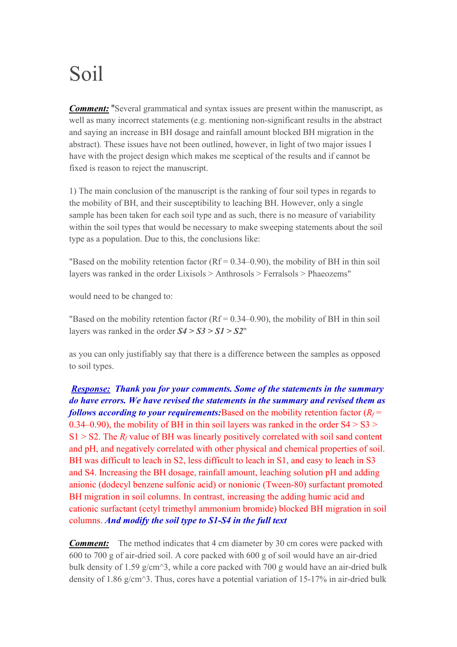## Soil

*Comment:* "Several grammatical and syntax issues are present within the manuscript, as well as many incorrect statements (e.g. mentioning non-significant results in the abstract and saying an increase in BH dosage and rainfall amount blocked BH migration in the abstract). These issues have not been outlined, however, in light of two major issues I have with the project design which makes me sceptical of the results and if cannot be fixed is reason to reject the manuscript.

1) The main conclusion of the manuscript is the ranking of four soil types in regards to the mobility of BH, and their susceptibility to leaching BH. However, only a single sample has been taken for each soil type and as such, there is no measure of variability within the soil types that would be necessary to make sweeping statements about the soil type as a population. Due to this, the conclusions like:

"Based on the mobility retention factor  $(Rf = 0.34 - 0.90)$ , the mobility of BH in thin soil layers was ranked in the order Lixisols > Anthrosols > Ferralsols > Phaeozems"

would need to be changed to:

"Based on the mobility retention factor  $(Rf = 0.34 - 0.90)$ , the mobility of BH in thin soil layers was ranked in the order *S4 > S3 > S1 > S2*"

as you can only justifiably say that there is a difference between the samples as opposed to soil types.

*Response: Thank you for your comments. Some of the statements in the summary do have errors. We have revised the statements in the summary and revised them as follows according to your requirements:*Based on the mobility retention factor  $(R_f =$ 0.34–0.90), the mobility of BH in thin soil layers was ranked in the order  $S4 > S3$  $S1 > S2$ . The  $R_f$  value of BH was linearly positively correlated with soil sand content and pH, and negatively correlated with other physical and chemical properties of soil. BH was difficult to leach in S2, less difficult to leach in S1, and easy to leach in S3 and S4. Increasing the BH dosage, rainfall amount, leaching solution pH and adding anionic (dodecyl benzene sulfonic acid) or nonionic (Tween-80) surfactant promoted BH migration in soil columns. In contrast, increasing the adding humic acid and cationic surfactant (cetyl trimethyl ammonium bromide) blocked BH migration in soil columns. *And modify the soil type to S1-S4 in the full text*

*Comment:* The method indicates that 4 cm diameter by 30 cm cores were packed with 600 to 700 g of air-dried soil. A core packed with 600 g of soil would have an air-dried bulk density of 1.59 g/cm<sup> $\land$ 3</sup>, while a core packed with 700 g would have an air-dried bulk density of 1.86 g/cm<sup> $\land$ </sup>3. Thus, cores have a potential variation of 15-17% in air-dried bulk